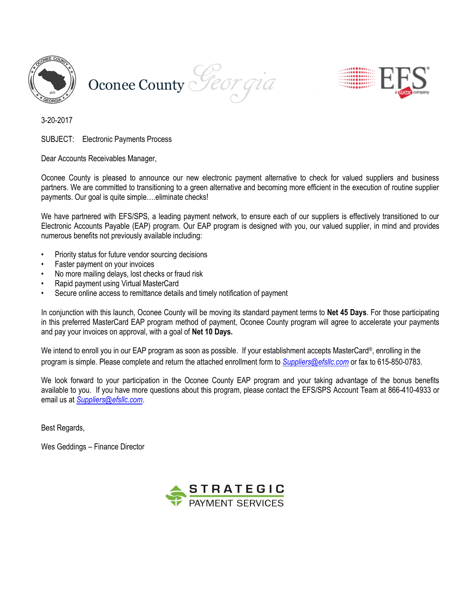





3-20-2017

SUBJECT: Electronic Payments Process

Dear Accounts Receivables Manager,

Oconee County is pleased to announce our new electronic payment alternative to check for valued suppliers and business partners. We are committed to transitioning to a green alternative and becoming more efficient in the execution of routine supplier payments. Our goal is quite simple….eliminate checks!

We have partnered with EFS/SPS, a leading payment network, to ensure each of our suppliers is effectively transitioned to our Electronic Accounts Payable (EAP) program. Our EAP program is designed with you, our valued supplier, in mind and provides numerous benefits not previously available including:

- Priority status for future vendor sourcing decisions
- Faster payment on your invoices
- No more mailing delays, lost checks or fraud risk
- Rapid payment using Virtual MasterCard
- Secure online access to remittance details and timely notification of payment

In conjunction with this launch, Oconee County will be moving its standard payment terms to **Net 45 Days**. For those participating in this preferred MasterCard EAP program method of payment, Oconee County program will agree to accelerate your payments and pay your invoices on approval, with a goal of **Net 10 Days.**

We intend to enroll you in our EAP program as soon as possible. If your establishment accepts MasterCard®, enrolling in the program is simple. Please complete and return the attached enrollment form to *[Suppliers@efsllc.com](mailto:Suppliers@efsllc.com)* or fax to 615-850-0783.

We look forward to your participation in the Oconee County EAP program and your taking advantage of the bonus benefits available to you. If you have more questions about this program, please contact the EFS/SPS Account Team at 866-410-4933 or email us at *[Suppliers@efsllc.com](mailto:Suppliers@efsllc.com)*.

Best Regards,

Wes Geddings – Finance Director